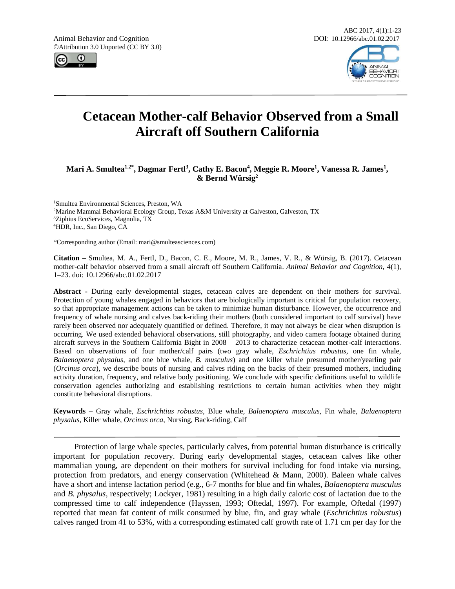Animal Behavior and Cognition DOI: 10.12966/abc.01.02.2017 ©Attribution 3.0 Unported (CC BY 3.0)





# **Cetacean Mother-calf Behavior Observed from a Small Aircraft off Southern California**

# **Mari A. Smultea1,2\*, Dagmar Fertl<sup>3</sup> , Cathy E. Bacon<sup>4</sup> , Meggie R. Moore<sup>1</sup> , Vanessa R. James<sup>1</sup> , & Bernd Würsig<sup>2</sup>**

Smultea Environmental Sciences, Preston, WA Marine Mammal Behavioral Ecology Group, Texas A&M University at Galveston, Galveston, TX Ziphius EcoServices, Magnolia, TX HDR, Inc., San Diego, CA

\*Corresponding author (Email: mari@smulteasciences.com)

**Citation –** Smultea, M. A., Fertl, D., Bacon, C. E., Moore, M. R., James, V. R., & Würsig, B. (2017). Cetacean mother-calf behavior observed from a small aircraft off Southern California. *Animal Behavior and Cognition, 4*(1), 1–23. doi: 10.12966/abc.01.02.2017

**Abstract -** During early developmental stages, cetacean calves are dependent on their mothers for survival. Protection of young whales engaged in behaviors that are biologically important is critical for population recovery, so that appropriate management actions can be taken to minimize human disturbance. However, the occurrence and frequency of whale nursing and calves back-riding their mothers (both considered important to calf survival) have rarely been observed nor adequately quantified or defined. Therefore, it may not always be clear when disruption is occurring. We used extended behavioral observations, still photography, and video camera footage obtained during aircraft surveys in the Southern California Bight in 2008 – 2013 to characterize cetacean mother-calf interactions. Based on observations of four mother/calf pairs (two gray whale, *Eschrichtius robustus*, one fin whale, *Balaenoptera physalus*, and one blue whale, *B. musculus*) and one killer whale presumed mother/yearling pair (*Orcinus orca*), we describe bouts of nursing and calves riding on the backs of their presumed mothers, including activity duration, frequency, and relative body positioning. We conclude with specific definitions useful to wildlife conservation agencies authorizing and establishing restrictions to certain human activities when they might constitute behavioral disruptions.

**Keywords –** Gray whale*, Eschrichtius robustus,* Blue whale, *Balaenoptera musculus,* Fin whale*, Balaenoptera physalus,* Killer whale, *Orcinus orca*, Nursing, Back-riding, Calf

Protection of large whale species, particularly calves, from potential human disturbance is critically important for population recovery. During early developmental stages, cetacean calves like other mammalian young, are dependent on their mothers for survival including for food intake via nursing, protection from predators, and energy conservation (Whitehead & Mann, 2000). Baleen whale calves have a short and intense lactation period (e.g., 6-7 months for blue and fin whales, *Balaenoptera musculus* and *B. physalus*, respectively; Lockyer, 1981) resulting in a high daily caloric cost of lactation due to the compressed time to calf independence (Hayssen, 1993; Oftedal, 1997). For example, Oftedal (1997) reported that mean fat content of milk consumed by blue, fin, and gray whale (*Eschrichtius robustus*) calves ranged from 41 to 53%, with a corresponding estimated calf growth rate of 1.71 cm per day for the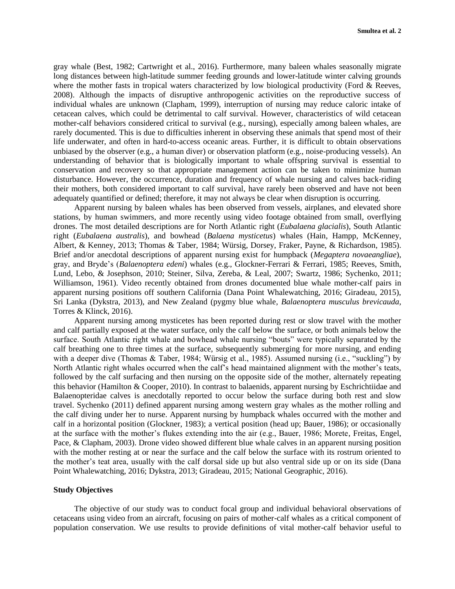gray whale (Best, 1982; Cartwright et al., 2016). Furthermore, many baleen whales seasonally migrate long distances between high-latitude summer feeding grounds and lower-latitude winter calving grounds where the mother fasts in tropical waters characterized by low biological productivity (Ford & Reeves, 2008). Although the impacts of disruptive anthropogenic activities on the reproductive success of individual whales are unknown (Clapham, 1999), interruption of nursing may reduce caloric intake of cetacean calves, which could be detrimental to calf survival. However, characteristics of wild cetacean mother-calf behaviors considered critical to survival (e.g., nursing), especially among baleen whales, are rarely documented. This is due to difficulties inherent in observing these animals that spend most of their life underwater, and often in hard-to-access oceanic areas. Further, it is difficult to obtain observations unbiased by the observer (e.g., a human diver) or observation platform (e.g., noise-producing vessels). An understanding of behavior that is biologically important to whale offspring survival is essential to conservation and recovery so that appropriate management action can be taken to minimize human disturbance. However, the occurrence, duration and frequency of whale nursing and calves back-riding their mothers, both considered important to calf survival, have rarely been observed and have not been adequately quantified or defined; therefore, it may not always be clear when disruption is occurring.

Apparent nursing by baleen whales has been observed from vessels, airplanes, and elevated shore stations, by human swimmers, and more recently using video footage obtained from small, overflying drones. The most detailed descriptions are for North Atlantic right (*Eubalaena glacialis*), South Atlantic right (*Eubalaena australis*), and bowhead (*Balaena mysticetus*) whales (Hain, Hampp, McKenney, Albert, & Kenney, 2013; Thomas & Taber, 1984; Würsig, Dorsey, Fraker, Payne, & Richardson, 1985). Brief and/or anecdotal descriptions of apparent nursing exist for humpback (*Megaptera novaeangliae*), gray, and Bryde's (*Balaenoptera edeni*) whales (e.g., Glockner-Ferrari & Ferrari, 1985; Reeves, Smith, Lund, Lebo, & Josephson, 2010; Steiner, Silva, Zereba, & Leal, 2007; Swartz, 1986; Sychenko, 2011; Williamson, 1961). Video recently obtained from drones documented blue whale mother-calf pairs in apparent nursing positions off southern California (Dana Point Whalewatching, 2016; Giradeau, 2015), Sri Lanka (Dykstra, 2013), and New Zealand (pygmy blue whale, *Balaenoptera musculus brevicauda*, Torres & Klinck, 2016).

Apparent nursing among mysticetes has been reported during rest or slow travel with the mother and calf partially exposed at the water surface, only the calf below the surface, or both animals below the surface. South Atlantic right whale and bowhead whale nursing "bouts" were typically separated by the calf breathing one to three times at the surface, subsequently submerging for more nursing, and ending with a deeper dive (Thomas & Taber, 1984; Würsig et al., 1985). Assumed nursing (i.e., "suckling") by North Atlantic right whales occurred when the calf's head maintained alignment with the mother's teats, followed by the calf surfacing and then nursing on the opposite side of the mother, alternately repeating this behavior (Hamilton & Cooper, 2010). In contrast to balaenids, apparent nursing by Eschrichtiidae and Balaenopteridae calves is anecdotally reported to occur below the surface during both rest and slow travel. Sychenko (2011) defined apparent nursing among western gray whales as the mother rolling and the calf diving under her to nurse. Apparent nursing by humpback whales occurred with the mother and calf in a horizontal position (Glockner, 1983); a vertical position (head up; Bauer, 1986); or occasionally at the surface with the mother's flukes extending into the air (e.g., Bauer, 1986; Morete, Freitas, Engel, Pace, & Clapham, 2003). Drone video showed different blue whale calves in an apparent nursing position with the mother resting at or near the surface and the calf below the surface with its rostrum oriented to the mother's teat area, usually with the calf dorsal side up but also ventral side up or on its side (Dana Point Whalewatching, 2016; Dykstra, 2013; Giradeau, 2015; National Geographic, 2016).

# **Study Objectives**

The objective of our study was to conduct focal group and individual behavioral observations of cetaceans using video from an aircraft, focusing on pairs of mother-calf whales as a critical component of population conservation. We use results to provide definitions of vital mother-calf behavior useful to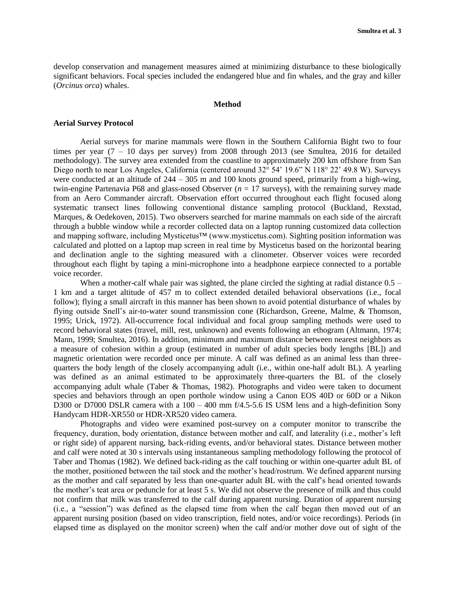develop conservation and management measures aimed at minimizing disturbance to these biologically significant behaviors. Focal species included the endangered blue and fin whales, and the gray and killer (*Orcinus orca*) whales.

# **Method**

# **Aerial Survey Protocol**

Aerial surveys for marine mammals were flown in the Southern California Bight two to four times per year  $(7 - 10)$  days per survey) from 2008 through 2013 (see Smultea, 2016 for detailed methodology). The survey area extended from the coastline to approximately 200 km offshore from San Diego north to near Los Angeles, California (centered around 32° 54' 19.6" N 118° 22' 49.8 W). Surveys were conducted at an altitude of  $244 - 305$  m and 100 knots ground speed, primarily from a high-wing, twin-engine Partenavia P68 and glass-nosed Observer ( $n = 17$  surveys), with the remaining survey made from an Aero Commander aircraft. Observation effort occurred throughout each flight focused along systematic transect lines following conventional distance sampling protocol (Buckland, Rexstad, Marques, & Oedekoven, 2015). Two observers searched for marine mammals on each side of the aircraft through a bubble window while a recorder collected data on a laptop running customized data collection and mapping software, including Mysticetus™ (www.mysticetus.com). Sighting position information was calculated and plotted on a laptop map screen in real time by Mysticetus based on the horizontal bearing and declination angle to the sighting measured with a clinometer. Observer voices were recorded throughout each flight by taping a mini-microphone into a headphone earpiece connected to a portable voice recorder.

When a mother-calf whale pair was sighted, the plane circled the sighting at radial distance  $0.5 -$ 1 km and a target altitude of 457 m to collect extended detailed behavioral observations (i.e., focal follow); flying a small aircraft in this manner has been shown to avoid potential disturbance of whales by flying outside Snell's air-to-water sound transmission cone (Richardson, Greene, Malme, & Thomson, 1995; Urick, 1972). All-occurrence focal individual and focal group sampling methods were used to record behavioral states (travel, mill, rest, unknown) and events following an ethogram (Altmann, 1974; Mann, 1999; Smultea, 2016). In addition, minimum and maximum distance between nearest neighbors as a measure of cohesion within a group (estimated in number of adult species body lengths [BL]) and magnetic orientation were recorded once per minute. A calf was defined as an animal less than threequarters the body length of the closely accompanying adult (i.e., within one-half adult BL). A yearling was defined as an animal estimated to be approximately three-quarters the BL of the closely accompanying adult whale (Taber & Thomas, 1982). Photographs and video were taken to document species and behaviors through an open porthole window using a Canon EOS 40D or 60D or a Nikon D300 or D7000 DSLR camera with a 100 – 400 mm f/4.5-5.6 IS USM lens and a high-definition Sony Handycam HDR-XR550 or HDR-XR520 video camera.

Photographs and video were examined post-survey on a computer monitor to transcribe the frequency, duration, body orientation, distance between mother and calf, and laterality (i.e., mother's left or right side) of apparent nursing, back-riding events, and/or behavioral states. Distance between mother and calf were noted at 30 s intervals using instantaneous sampling methodology following the protocol of Taber and Thomas (1982). We defined back-riding as the calf touching or within one-quarter adult BL of the mother, positioned between the tail stock and the mother's head/rostrum. We defined apparent nursing as the mother and calf separated by less than one-quarter adult BL with the calf's head oriented towards the mother's teat area or peduncle for at least 5 s. We did not observe the presence of milk and thus could not confirm that milk was transferred to the calf during apparent nursing. Duration of apparent nursing (i.e., a "session") was defined as the elapsed time from when the calf began then moved out of an apparent nursing position (based on video transcription, field notes, and/or voice recordings). Periods (in elapsed time as displayed on the monitor screen) when the calf and/or mother dove out of sight of the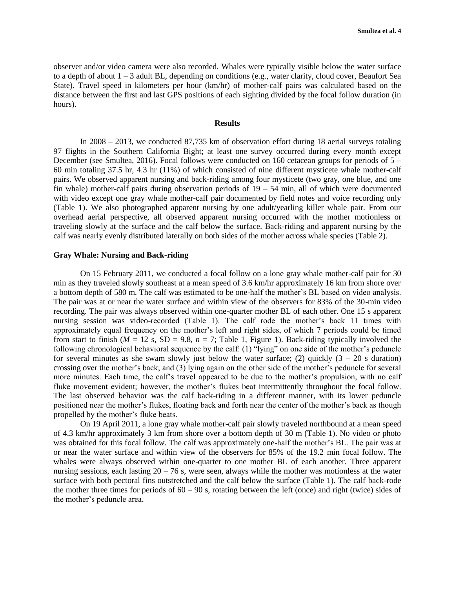observer and/or video camera were also recorded. Whales were typically visible below the water surface to a depth of about  $1 - 3$  adult BL, depending on conditions (e.g., water clarity, cloud cover, Beaufort Sea State). Travel speed in kilometers per hour (km/hr) of mother-calf pairs was calculated based on the distance between the first and last GPS positions of each sighting divided by the focal follow duration (in hours).

### **Results**

In 2008 – 2013, we conducted 87,735 km of observation effort during 18 aerial surveys totaling 97 flights in the Southern California Bight; at least one survey occurred during every month except December (see Smultea, 2016). Focal follows were conducted on 160 cetacean groups for periods of 5 – 60 min totaling 37.5 hr, 4.3 hr (11%) of which consisted of nine different mysticete whale mother-calf pairs. We observed apparent nursing and back-riding among four mysticete (two gray, one blue, and one fin whale) mother-calf pairs during observation periods of  $19 - 54$  min, all of which were documented with video except one gray whale mother-calf pair documented by field notes and voice recording only (Table 1). We also photographed apparent nursing by one adult/yearling killer whale pair. From our overhead aerial perspective, all observed apparent nursing occurred with the mother motionless or traveling slowly at the surface and the calf below the surface. Back-riding and apparent nursing by the calf was nearly evenly distributed laterally on both sides of the mother across whale species (Table 2).

### **Gray Whale: Nursing and Back-riding**

On 15 February 2011, we conducted a focal follow on a lone gray whale mother-calf pair for 30 min as they traveled slowly southeast at a mean speed of 3.6 km/hr approximately 16 km from shore over a bottom depth of 580 m. The calf was estimated to be one-half the mother's BL based on video analysis. The pair was at or near the water surface and within view of the observers for 83% of the 30-min video recording. The pair was always observed within one-quarter mother BL of each other. One 15 s apparent nursing session was video-recorded (Table 1). The calf rode the mother's back 11 times with approximately equal frequency on the mother's left and right sides, of which 7 periods could be timed from start to finish ( $M = 12$  s,  $SD = 9.8$ ,  $n = 7$ ; Table 1, Figure 1). Back-riding typically involved the following chronological behavioral sequence by the calf: (1) "lying" on one side of the mother's peduncle for several minutes as she swam slowly just below the water surface; (2) quickly  $(3 - 20 s)$  duration) crossing over the mother's back; and (3) lying again on the other side of the mother's peduncle for several more minutes. Each time, the calf's travel appeared to be due to the mother's propulsion, with no calf fluke movement evident; however, the mother's flukes beat intermittently throughout the focal follow. The last observed behavior was the calf back-riding in a different manner, with its lower peduncle positioned near the mother's flukes, floating back and forth near the center of the mother's back as though propelled by the mother's fluke beats.

On 19 April 2011, a lone gray whale mother-calf pair slowly traveled northbound at a mean speed of 4.3 km/hr approximately 3 km from shore over a bottom depth of 30 m (Table 1). No video or photo was obtained for this focal follow. The calf was approximately one-half the mother's BL. The pair was at or near the water surface and within view of the observers for 85% of the 19.2 min focal follow. The whales were always observed within one-quarter to one mother BL of each another. Three apparent nursing sessions, each lasting  $20 - 76$  s, were seen, always while the mother was motionless at the water surface with both pectoral fins outstretched and the calf below the surface (Table 1). The calf back-rode the mother three times for periods of  $60 - 90$  s, rotating between the left (once) and right (twice) sides of the mother's peduncle area.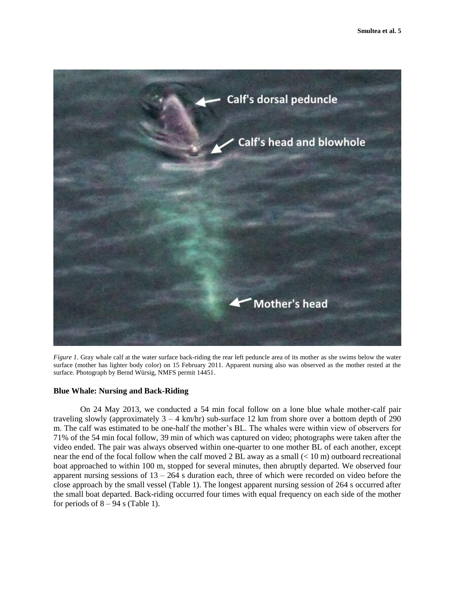

*Figure 1*. Gray whale calf at the water surface back-riding the rear left peduncle area of its mother as she swims below the water surface (mother has lighter body color) on 15 February 2011. Apparent nursing also was observed as the mother rested at the surface. Photograph by Bernd Würsig, NMFS permit 14451.

# **Blue Whale: Nursing and Back-Riding**

On 24 May 2013, we conducted a 54 min focal follow on a lone blue whale mother-calf pair traveling slowly (approximately  $3 - 4$  km/hr) sub-surface 12 km from shore over a bottom depth of 290 m. The calf was estimated to be one-half the mother's BL. The whales were within view of observers for 71% of the 54 min focal follow, 39 min of which was captured on video; photographs were taken after the video ended. The pair was always observed within one-quarter to one mother BL of each another, except near the end of the focal follow when the calf moved 2 BL away as a small  $(< 10 \text{ m})$  outboard recreational boat approached to within 100 m, stopped for several minutes, then abruptly departed. We observed four apparent nursing sessions of  $13 - 264$  s duration each, three of which were recorded on video before the close approach by the small vessel (Table 1). The longest apparent nursing session of 264 s occurred after the small boat departed. Back-riding occurred four times with equal frequency on each side of the mother for periods of  $8 - 94$  s (Table 1).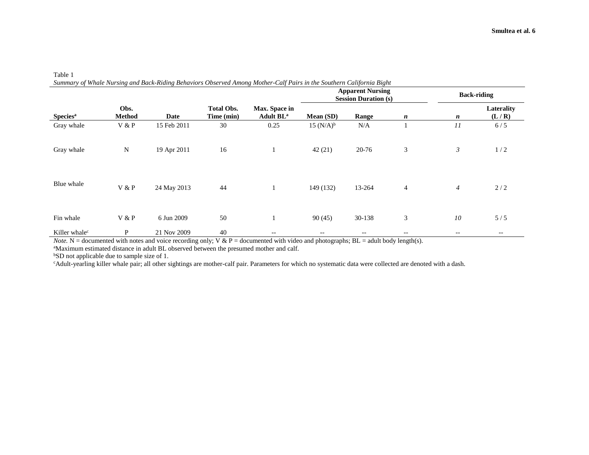| <b>Species</b> <sup>a</sup> | Obs.<br><b>Method</b> | Date        | <b>Total Obs.</b><br>Time (min) | Max. Space in<br>Adult BL <sup>a</sup> | <b>Apparent Nursing</b><br><b>Session Duration (s)</b> |        |                | <b>Back-riding</b> |                          |
|-----------------------------|-----------------------|-------------|---------------------------------|----------------------------------------|--------------------------------------------------------|--------|----------------|--------------------|--------------------------|
|                             |                       |             |                                 |                                        | Mean (SD)                                              | Range  | n              | $\boldsymbol{n}$   | Laterality<br>(L/R)      |
| Gray whale                  | V & P                 | 15 Feb 2011 | 30                              | 0.25                                   | $15 (N/A)^{b}$                                         | N/A    |                | $_{II}$            | 6/5                      |
| Gray whale                  | ${\bf N}$             | 19 Apr 2011 | 16                              |                                        | 42(21)                                                 | 20-76  | 3              | 3                  | 1/2                      |
| Blue whale                  | V & P                 | 24 May 2013 | 44                              | 1                                      | 149 (132)                                              | 13-264 | $\overline{4}$ | $\overline{4}$     | 2/2                      |
| Fin whale                   | V & P                 | 6 Jun 2009  | 50                              | 1                                      | 90(45)                                                 | 30-138 | 3              | 10                 | 5/5                      |
| Killer whale <sup>c</sup>   | P                     | 21 Nov 2009 | 40                              | $\qquad \qquad -$                      |                                                        | $- -$  |                | --                 | $\overline{\phantom{m}}$ |

Table 1<br>Summ *Summary of Whale Nursing and Back-Riding Behaviors Observed Among Mother-Calf Pairs in the Southern California Bight*

*Note.* N = documented with notes and voice recording only; V & P = documented with video and photographs; BL = adult body length(s).

<sup>a</sup>Maximum estimated distance in adult BL observed between the presumed mother and calf.

<sup>b</sup>SD not applicable due to sample size of 1.

<sup>c</sup>Adult-yearling killer whale pair; all other sightings are mother-calf pair. Parameters for which no systematic data were collected are denoted with a dash.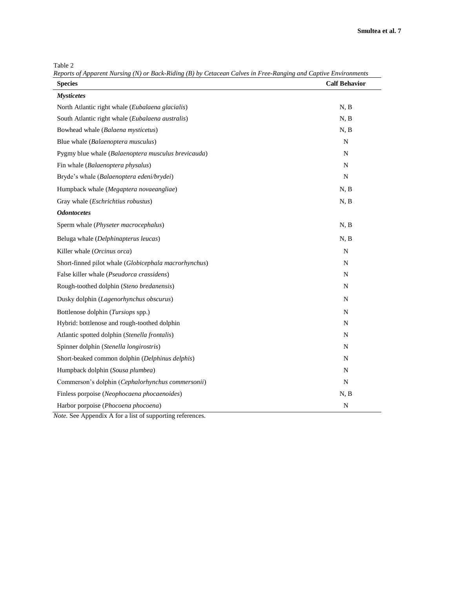Table 2

*Reports of Apparent Nursing (N) or Back-Riding (B) by Cetacean Calves in Free-Ranging and Captive Environments* **Species Calf Behavior**

| <b>Species</b>                                        | <b>Calf Behavior</b> |
|-------------------------------------------------------|----------------------|
| <b>Mysticetes</b>                                     |                      |
| North Atlantic right whale (Eubalaena glacialis)      | N, B                 |
| South Atlantic right whale (Eubalaena australis)      | N, B                 |
| Bowhead whale (Balaena mysticetus)                    | N, B                 |
| Blue whale (Balaenoptera musculus)                    | N                    |
| Pygmy blue whale (Balaenoptera musculus brevicauda)   | N                    |
| Fin whale (Balaenoptera physalus)                     | N                    |
| Bryde's whale (Balaenoptera edeni/brydei)             | $\mathbf N$          |
| Humpback whale (Megaptera novaeangliae)               | N, B                 |
| Gray whale (Eschrichtius robustus)                    | N, B                 |
| <b>Odontocetes</b>                                    |                      |
| Sperm whale (Physeter macrocephalus)                  | N, B                 |
| Beluga whale (Delphinapterus leucas)                  | N, B                 |
| Killer whale (Orcinus orca)                           | ${\bf N}$            |
| Short-finned pilot whale (Globicephala macrorhynchus) | N                    |
| False killer whale (Pseudorca crassidens)             | $\mathbf N$          |
| Rough-toothed dolphin (Steno bredanensis)             | $\mathbf N$          |
| Dusky dolphin (Lagenorhynchus obscurus)               | N                    |
| Bottlenose dolphin (Tursiops spp.)                    | N                    |
| Hybrid: bottlenose and rough-toothed dolphin          | N                    |
| Atlantic spotted dolphin (Stenella frontalis)         | N                    |
| Spinner dolphin (Stenella longirostris)               | N                    |
| Short-beaked common dolphin (Delphinus delphis)       | N                    |
| Humpback dolphin (Sousa plumbea)                      | N                    |
| Commerson's dolphin (Cephalorhynchus commersonii)     | N                    |
| Finless porpoise (Neophocaena phocaenoides)           | N, B                 |
| Harbor porpoise (Phocoena phocoena)                   | $\mathbf N$          |

*Note.* See Appendix A for a list of supporting references.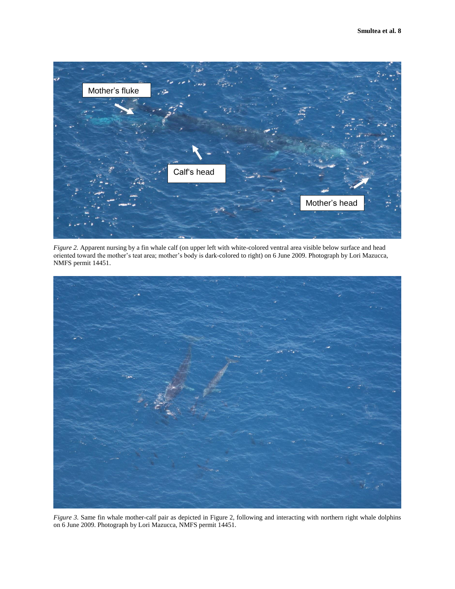

*Figure 2.* Apparent nursing by a fin whale calf (on upper left with white-colored ventral area visible below surface and head oriented toward the mother's teat area; mother's body is dark-colored to right) on 6 June 2009. Photograph by Lori Mazucca, NMFS permit 14451.



*Figure 3.* Same fin whale mother-calf pair as depicted in Figure 2, following and interacting with northern right whale dolphins on 6 June 2009. Photograph by Lori Mazucca, NMFS permit 14451.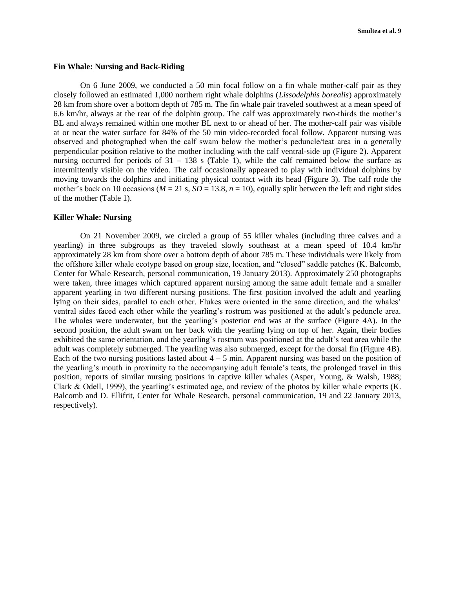### **Fin Whale: Nursing and Back-Riding**

On 6 June 2009, we conducted a 50 min focal follow on a fin whale mother-calf pair as they closely followed an estimated 1,000 northern right whale dolphins (*Lissodelphis borealis*) approximately 28 km from shore over a bottom depth of 785 m. The fin whale pair traveled southwest at a mean speed of 6.6 km/hr, always at the rear of the dolphin group. The calf was approximately two-thirds the mother's BL and always remained within one mother BL next to or ahead of her. The mother-calf pair was visible at or near the water surface for 84% of the 50 min video-recorded focal follow. Apparent nursing was observed and photographed when the calf swam below the mother's peduncle/teat area in a generally perpendicular position relative to the mother including with the calf ventral-side up (Figure 2). Apparent nursing occurred for periods of  $31 - 138$  s (Table 1), while the calf remained below the surface as intermittently visible on the video. The calf occasionally appeared to play with individual dolphins by moving towards the dolphins and initiating physical contact with its head (Figure 3). The calf rode the mother's back on 10 occasions ( $M = 21$  s,  $SD = 13.8$ ,  $n = 10$ ), equally split between the left and right sides of the mother (Table 1).

# **Killer Whale: Nursing**

On 21 November 2009, we circled a group of 55 killer whales (including three calves and a yearling) in three subgroups as they traveled slowly southeast at a mean speed of 10.4 km/hr approximately 28 km from shore over a bottom depth of about 785 m. These individuals were likely from the offshore killer whale ecotype based on group size, location, and "closed" saddle patches (K. Balcomb, Center for Whale Research, personal communication, 19 January 2013). Approximately 250 photographs were taken, three images which captured apparent nursing among the same adult female and a smaller apparent yearling in two different nursing positions. The first position involved the adult and yearling lying on their sides, parallel to each other. Flukes were oriented in the same direction, and the whales' ventral sides faced each other while the yearling's rostrum was positioned at the adult's peduncle area. The whales were underwater, but the yearling's posterior end was at the surface (Figure 4A). In the second position, the adult swam on her back with the yearling lying on top of her. Again, their bodies exhibited the same orientation, and the yearling's rostrum was positioned at the adult's teat area while the adult was completely submerged. The yearling was also submerged, except for the dorsal fin (Figure 4B). Each of the two nursing positions lasted about  $4 - 5$  min. Apparent nursing was based on the position of the yearling's mouth in proximity to the accompanying adult female's teats, the prolonged travel in this position, reports of similar nursing positions in captive killer whales (Asper, Young, & Walsh, 1988; Clark & Odell, 1999), the yearling's estimated age, and review of the photos by killer whale experts (K. Balcomb and D. Ellifrit, Center for Whale Research, personal communication, 19 and 22 January 2013, respectively).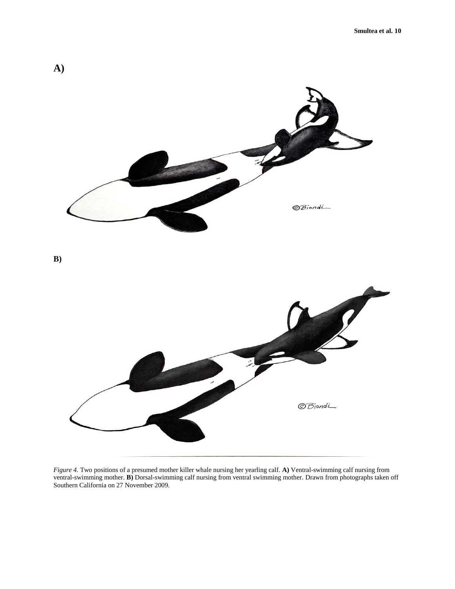

*Figure 4.* Two positions of a presumed mother killer whale nursing her yearling calf. **A)** Ventral-swimming calf nursing from ventral-swimming mother. **B)** Dorsal-swimming calf nursing from ventral swimming mother. Drawn from photographs taken off Southern California on 27 November 2009.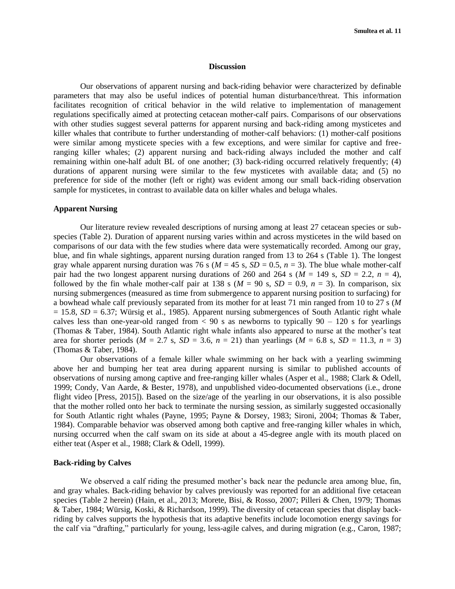#### **Discussion**

Our observations of apparent nursing and back-riding behavior were characterized by definable parameters that may also be useful indices of potential human disturbance/threat. This information facilitates recognition of critical behavior in the wild relative to implementation of management regulations specifically aimed at protecting cetacean mother-calf pairs. Comparisons of our observations with other studies suggest several patterns for apparent nursing and back-riding among mysticetes and killer whales that contribute to further understanding of mother-calf behaviors: (1) mother-calf positions were similar among mysticete species with a few exceptions, and were similar for captive and freeranging killer whales; (2) apparent nursing and back-riding always included the mother and calf remaining within one-half adult BL of one another; (3) back-riding occurred relatively frequently; (4) durations of apparent nursing were similar to the few mysticetes with available data; and (5) no preference for side of the mother (left or right) was evident among our small back-riding observation sample for mysticetes, in contrast to available data on killer whales and beluga whales.

# **Apparent Nursing**

Our literature review revealed descriptions of nursing among at least 27 cetacean species or subspecies (Table 2). Duration of apparent nursing varies within and across mysticetes in the wild based on comparisons of our data with the few studies where data were systematically recorded. Among our gray, blue, and fin whale sightings, apparent nursing duration ranged from 13 to 264 s (Table 1). The longest gray whale apparent nursing duration was 76 s ( $M = 45$  s,  $SD = 0.5$ ,  $n = 3$ ). The blue whale mother-calf pair had the two longest apparent nursing durations of 260 and 264 s ( $M = 149$  s,  $SD = 2.2$ ,  $n = 4$ ), followed by the fin whale mother-calf pair at 138 s ( $M = 90$  s,  $SD = 0.9$ ,  $n = 3$ ). In comparison, six nursing submergences (measured as time from submergence to apparent nursing position to surfacing) for a bowhead whale calf previously separated from its mother for at least 71 min ranged from 10 to 27 s (*M*  $= 15.8$ ,  $SD = 6.37$ ; Würsig et al., 1985). Apparent nursing submergences of South Atlantic right whale calves less than one-year-old ranged from  $< 90$  s as newborns to typically  $90 - 120$  s for yearlings (Thomas & Taber, 1984). South Atlantic right whale infants also appeared to nurse at the mother's teat area for shorter periods ( $M = 2.7$  s,  $SD = 3.6$ ,  $n = 21$ ) than yearlings ( $M = 6.8$  s,  $SD = 11.3$ ,  $n = 3$ ) (Thomas & Taber, 1984).

Our observations of a female killer whale swimming on her back with a yearling swimming above her and bumping her teat area during apparent nursing is similar to published accounts of observations of nursing among captive and free-ranging killer whales (Asper et al., 1988; Clark & Odell, 1999; Condy, Van Aarde, & Bester, 1978), and unpublished video-documented observations (i.e., drone flight video [Press, 2015]). Based on the size/age of the yearling in our observations, it is also possible that the mother rolled onto her back to terminate the nursing session, as similarly suggested occasionally for South Atlantic right whales (Payne, 1995; Payne & Dorsey, 1983; Sironi, 2004; Thomas & Taber, 1984). Comparable behavior was observed among both captive and free-ranging killer whales in which, nursing occurred when the calf swam on its side at about a 45-degree angle with its mouth placed on either teat (Asper et al., 1988; Clark & Odell, 1999).

# **Back-riding by Calves**

We observed a calf riding the presumed mother's back near the peduncle area among blue, fin, and gray whales. Back-riding behavior by calves previously was reported for an additional five cetacean species (Table 2 herein) (Hain, et al., 2013; Morete, Bisi, & Rosso, 2007; Pilleri & Chen, 1979; Thomas & Taber, 1984; Würsig, Koski, & Richardson, 1999). The diversity of cetacean species that display backriding by calves supports the hypothesis that its adaptive benefits include locomotion energy savings for the calf via "drafting," particularly for young, less-agile calves, and during migration (e.g., Caron, 1987;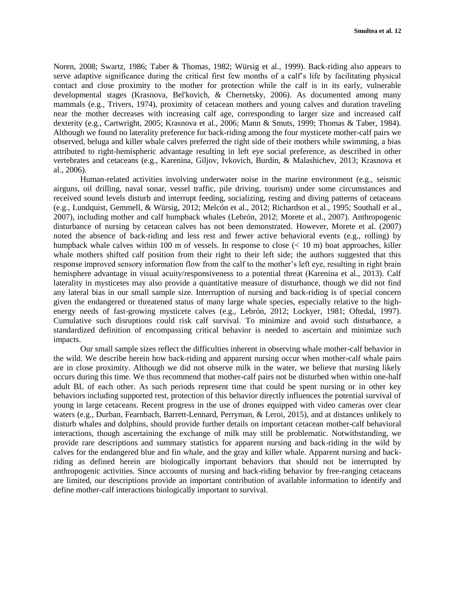Noren, 2008; Swartz, 1986; Taber & Thomas, 1982; Würsig et al., 1999). Back-riding also appears to serve adaptive significance during the critical first few months of a calf's life by facilitating physical contact and close proximity to the mother for protection while the calf is in its early, vulnerable developmental stages (Krasnova, Bel'kovich, & Chernetsky, 2006). As documented among many mammals (e.g., Trivers, 1974), proximity of cetacean mothers and young calves and duration traveling near the mother decreases with increasing calf age, corresponding to larger size and increased calf dexterity (e.g., Cartwright, 2005; Krasnova et al., 2006; Mann & Smuts, 1999; Thomas & Taber, 1984). Although we found no laterality preference for back-riding among the four mysticete mother-calf pairs we observed, beluga and killer whale calves preferred the right side of their mothers while swimming, a bias attributed to right-hemispheric advantage resulting in left eye social preference, as described in other vertebrates and cetaceans (e.g., Karenina, Giljov, Ivkovich, Burdin, & Malashichev, 2013; Krasnova et al., 2006).

Human-related activities involving underwater noise in the marine environment (e.g., seismic airguns, oil drilling, naval sonar, vessel traffic, pile driving, tourism) under some circumstances and received sound levels disturb and interrupt feeding, socializing, resting and diving patterns of cetaceans (e.g., Lundquist, Gemmell, & Würsig, 2012; Melcón et al., 2012; Richardson et al., 1995; Southall et al., 2007), including mother and calf humpback whales (Lebrón, 2012; Morete et al., 2007). Anthropogenic disturbance of nursing by cetacean calves has not been demonstrated. However, Morete et al. (2007) noted the absence of back-riding and less rest and fewer active behavioral events (e.g., rolling) by humpback whale calves within 100 m of vessels. In response to close (< 10 m) boat approaches, killer whale mothers shifted calf position from their right to their left side; the authors suggested that this response improved sensory information flow from the calf to the mother's left eye, resulting in right brain hemisphere advantage in visual acuity/responsiveness to a potential threat (Karenina et al., 2013). Calf laterality in mysticetes may also provide a quantitative measure of disturbance, though we did not find any lateral bias in our small sample size. Interruption of nursing and back-riding is of special concern given the endangered or threatened status of many large whale species, especially relative to the highenergy needs of fast-growing mysticete calves (e.g., Lebrón, 2012; Lockyer, 1981; Oftedal, 1997). Cumulative such disruptions could risk calf survival. To minimize and avoid such disturbance, a standardized definition of encompassing critical behavior is needed to ascertain and minimize such impacts.

Our small sample sizes reflect the difficulties inherent in observing whale mother-calf behavior in the wild. We describe herein how back-riding and apparent nursing occur when mother-calf whale pairs are in close proximity. Although we did not observe milk in the water, we believe that nursing likely occurs during this time. We thus recommend that mother-calf pairs not be disturbed when within one-half adult BL of each other. As such periods represent time that could be spent nursing or in other key behaviors including supported rest, protection of this behavior directly influences the potential survival of young in large cetaceans. Recent progress in the use of drones equipped with video cameras over clear waters (e.g., Durban, Fearnbach, Barrett-Lennard, Perryman, & Leroi, 2015), and at distances unlikely to disturb whales and dolphins, should provide further details on important cetacean mother-calf behavioral interactions, though ascertaining the exchange of milk may still be problematic. Notwithstanding, we provide rare descriptions and summary statistics for apparent nursing and back-riding in the wild by calves for the endangered blue and fin whale, and the gray and killer whale. Apparent nursing and backriding as defined herein are biologically important behaviors that should not be interrupted by anthropogenic activities. Since accounts of nursing and back-riding behavior by free-ranging cetaceans are limited, our descriptions provide an important contribution of available information to identify and define mother-calf interactions biologically important to survival.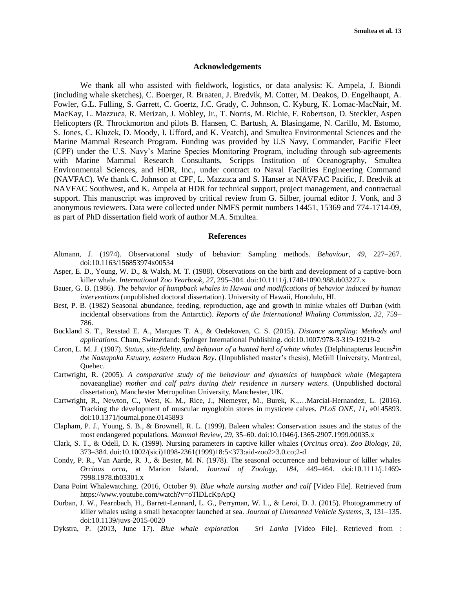# **Acknowledgements**

We thank all who assisted with fieldwork, logistics, or data analysis: K. Ampela, J. Biondi (including whale sketches), C. Boerger, R. Braaten, J. Bredvik, M. Cotter, M. Deakos, D. Engelhaupt, A. Fowler, G.L. Fulling, S. Garrett, C. Goertz, J.C. Grady, C. Johnson, C. Kyburg, K. Lomac-MacNair, M. MacKay, L. Mazzuca, R. Merizan, J. Mobley, Jr., T. Norris, M. Richie, F. Robertson, D. Steckler, Aspen Helicopters (R. Throckmorton and pilots B. Hansen, C. Bartush, A. Blasingame, N. Carillo, M. Estomo, S. Jones, C. Kluzek, D. Moody, I. Ufford, and K. Veatch), and Smultea Environmental Sciences and the Marine Mammal Research Program. Funding was provided by U.S Navy, Commander, Pacific Fleet (CPF) under the U.S. Navy's Marine Species Monitoring Program, including through sub-agreements with Marine Mammal Research Consultants, Scripps Institution of Oceanography, Smultea Environmental Sciences, and HDR, Inc., under contract to Naval Facilities Engineering Command (NAVFAC). We thank C. Johnson at CPF, L. Mazzuca and S. Hanser at NAVFAC Pacific, J. Bredvik at NAVFAC Southwest, and K. Ampela at HDR for technical support, project management, and contractual support. This manuscript was improved by critical review from G. Silber, journal editor J. Vonk, and 3 anonymous reviewers. Data were collected under NMFS permit numbers 14451, 15369 and 774-1714-09, as part of PhD dissertation field work of author M.A. Smultea.

#### **References**

- Altmann, J. (1974). Observational study of behavior: Sampling methods. *Behaviour*, *49*, 227–267. doi:10.1163/156853974x00534
- Asper, E. D., Young, W. D., & Walsh, M. T. (1988). Observations on the birth and development of a captive-born killer whale. *International Zoo Yearbook, 27*, 295–304. doi:10.1111/j.1748-1090.988.tb03227.x
- Bauer, G. B. (1986). *The behavior of humpback whales in Hawaii and modifications of behavior induced by human interventions* (unpublished doctoral dissertation). University of Hawaii, Honolulu, HI.
- Best, P. B. (1982) Seasonal abundance, feeding, reproduction, age and growth in minke whales off Durban (with incidental observations from the Antarctic). *Reports of the International Whaling Commission, 32*, 759– 786.
- Buckland S. T., Rexstad E. A., Marques T. A., & Oedekoven, C. S. (2015). *Distance sampling: Methods and applications*. Cham, Switzerland: Springer International Publishing. doi:10.1007/978-3-319-19219-2
- Caron, L. M. J. (1987). *Status, site-fidelity, and behavior of a hunted herd of white whales (Delphinapterus leucas<sup>2</sup>in the Nastapoka Estuary, eastern Hudson Bay*. (Unpublished master's thesis), McGill University, Montreal, Quebec.
- Cartwright, R. (2005). *A comparative study of the behaviour and dynamics of humpback whale* (Megaptera novaeangliae) *mother and calf pairs during their residence in nursery waters*. (Unpublished doctoral dissertation), Manchester Metropolitan University, Manchester, UK.
- Cartwright, R., Newton, C., West, K. M., Rice, J., Niemeyer, M., Burek, K.,…Marcial-Hernandez, L. (2016). Tracking the development of muscular myoglobin stores in mysticete calves. *PLoS ONE*, *11*, e0145893. doi:10.1371/journal.pone.0145893
- Clapham, P. J., Young, S. B., & Brownell, R. L. (1999). Baleen whales: Conservation issues and the status of the most endangered populations. *Mammal Review*, *29*, 35–60. doi:10.1046/j.1365-2907.1999.00035.x
- Clark, S. T., & Odell, D. K. (1999). Nursing parameters in captive killer whales (*Orcinus orca*). *Zoo Biology*, *18*, 373–384. doi:10.1002/(sici)1098-2361(1999)18:5<373:aid-zoo2>3.0.co;2-d
- Condy, P. R., Van Aarde, R. J., & Bester, M. N. (1978). The seasonal occurrence and behaviour of killer whales *Orcinus orca*, at Marion Island. *Journal of Zoology, 184*, 449–464. doi:10.1111/j.1469- 7998.1978.tb03301.x
- Dana Point Whalewatching. (2016, October 9). *Blue whale nursing mother and calf* [Video File]. Retrieved from https://www.youtube.com/watch?v=oTlDLcKpApQ
- Durban, J. W., Fearnbach, H., Barrett-Lennard, L. G., Perryman, W. L., & Leroi, D. J. (2015). Photogrammetry of killer whales using a small hexacopter launched at sea. *Journal of Unmanned Vehicle Systems*, *3*, 131–135. doi:10.1139/juvs-2015-0020
- Dykstra, P. (2013, June 17). *Blue whale exploration – Sri Lanka* [Video File]. Retrieved from :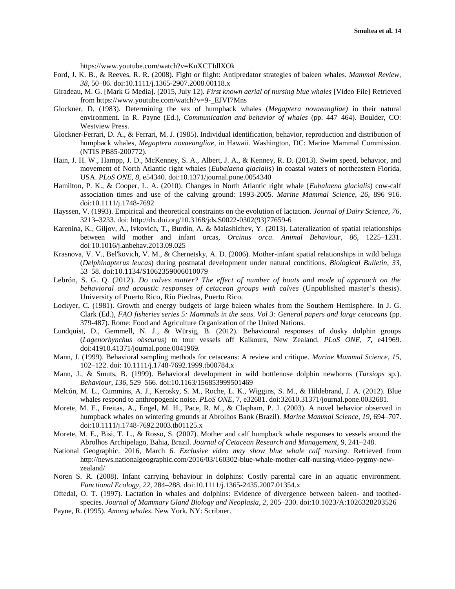https://www.youtube.com/watch?v=KuXCTIdlXOk

- Ford, J. K. B., & Reeves, R. R. (2008). Fight or flight: Antipredator strategies of baleen whales. *Mammal Review*, *38*, 50–86. doi:10.1111/j.1365-2907.2008.00118.x
- Giradeau, M. G. [Mark G Media]. (2015, July 12). *First known aerial of nursing blue whales* [Video File] Retrieved from https://www.youtube.com/watch?v=9-\_EJVI7Mns
- Glockner, D. (1983). Determining the sex of humpback whales (*Megaptera novaeangliae)* in their natural environment. In R. Payne (Ed.), *Communication and behavior of whales* (pp. 447–464). Boulder, CO: Westview Press.
- Glockner-Ferrari, D. A., & Ferrari, M. J. (1985). Individual identification, behavior, reproduction and distribution of humpback whales, *Megaptera novaeangliae*, in Hawaii. Washington, DC: Marine Mammal Commission. (NTIS PB85-200772).
- Hain, J. H. W., Hampp, J. D., McKenney, S. A., Albert, J. A., & Kenney, R. D. (2013). Swim speed, behavior, and movement of North Atlantic right whales (*Eubalaena glacialis*) in coastal waters of northeastern Florida, USA. *PLoS ONE*, *8*, e54340. doi:10.1371/journal.pone.0054340
- Hamilton, P. K., & Cooper, L. A. (2010). Changes in North Atlantic right whale (*Eubalaena glacialis*) cow-calf association times and use of the calving ground: 1993-2005. *Marine Mammal Science*, *26*, 896–916. doi:10.1111/j.1748-7692
- Hayssen, V. (1993). Empirical and theoretical constraints on the evolution of lactation. *Journal of Dairy Science*, *76*, 3213–3233. doi: [http://dx.doi.org/10.3168/jds.S0022-0302\(93\)77659-6](http://dx.doi.org/10.3168/jds.S0022-0302(93)77659-6)
- Karenina, K., Giljov, A., Ivkovich, T., Burdin, A. & Malashichev, Y. (2013). Lateralization of spatial relationships between wild mother and infant orcas, *Orcinus orca*. *Animal Behaviour*, *86*, 1225–1231. doi:10.1016/j.anbehav.2013.09.025
- Krasnova, V. V., Bel'kovich, V. M., & Chernetsky, A. D. (2006). Mother-infant spatial relationships in wild beluga (*Delphinapterus leuca*s) during postnatal development under natural conditions. *Biological Bulletin*, *33*, 53–58. doi:10.1134/S1062359006010079
- Lebrón, S. G. Q. (2012). *Do calves matter? The effect of number of boats and mode of approach on the behavioral and acoustic responses of cetacean groups with calves* (Unpublished master's thesis). University of Puerto Rico, Río Piedras, Puerto Rico.
- Lockyer, C. (1981). Growth and energy budgets of large baleen whales from the Southern Hemisphere. In J. G. Clark (Ed.), *FAO fisheries series 5: Mammals in the seas*. *Vol 3: General papers and large cetaceans* (pp. 379-487). Rome: Food and Agriculture Organization of the United Nations.
- Lundquist, D., Gemmell, N. J., & Würsig, B. (2012). Behavioural responses of dusky dolphin groups (*Lagenorhynchus obscurus*) to tour vessels off Kaikoura, New Zealand. *PLoS ONE*, *7*, e41969. doi:41910.41371/journal.pone.0041969.
- Mann, J. (1999). Behavioral sampling methods for cetaceans: A review and critique. *Marine Mammal Science*, *15*, 102–122. doi: 10.1111/j.1748-7692.1999.tb00784.x
- Mann, J., & Smuts, B. (1999). Behavioral development in wild bottlenose dolphin newborns (*Tursiops* sp.). *Behaviour*, *136*, 529–566. doi:10.1163/156853999501469
- Melcón, M. L., Cummins, A. J., Kerosky, S. M., Roche, L. K., Wiggins, S. M., & Hildebrand, J. A. (2012). Blue whales respond to anthropogenic noise. *PLoS ONE*, 7, e32681. doi:32610.31371/journal.pone.0032681.
- Morete, M. E., Freitas, A., Engel, M. H., Pace, R. M., & Clapham, P. J. (2003). A novel behavior observed in humpback whales on wintering grounds at Abrolhos Bank (Brazil). *Marine Mammal Science*, *19*, 694–707. doi:10.1111/j.1748-7692.2003.tb01125.x
- Morete, M. E., Bisi, T. L., & Rosso, S. (2007). Mother and calf humpback whale responses to vessels around the Abrolhos Archipelago, Bahia, Brazil. *Journal of Cetacean Research and Management,* 9, 241–248.
- National Geographic. 2016, March 6. *Exclusive video may show blue whale calf nursing*. Retrieved from http://news.nationalgeographic.com/2016/03/160302-blue-whale-mother-calf-nursing-video-pygmy-newzealand/
- Noren S. R. (2008). Infant carrying behaviour in dolphins: Costly parental care in an aquatic environment. *Functional Ecology*, *22*, 284–288. doi:10.1111/j.1365-2435.2007.01354.x
- Oftedal, O. T. (1997). Lactation in whales and dolphins: Evidence of divergence between baleen- and toothedspecies. *Journal of Mammary Gland Biology and Neoplasia*, *2*, 205–230. doi:10.1023/A:1026328203526
- Payne, R. (1995). *Among whales*. New York, NY: Scribner.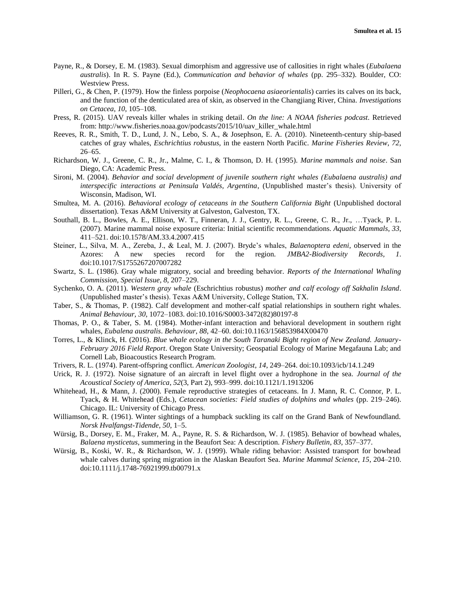- Payne, R., & Dorsey, E. M. (1983). Sexual dimorphism and aggressive use of callosities in right whales (*Eubalaena australis*). In R. S. Payne (Ed.), *Communication and behavior of whales* (pp. 295–332). Boulder, CO: Westview Press.
- Pilleri, G., & Chen, P. (1979). How the finless porpoise (*Neophocaena asiaeorientalis*) carries its calves on its back, and the function of the denticulated area of skin, as observed in the Changjiang River, China. *Investigations on Cetacea*, *10*, 105–108.
- Press, R. (2015). UAV reveals killer whales in striking detail. *On the line: A NOAA fisheries podcast*. Retrieved from: http://www.fisheries.noaa.gov/podcasts/2015/10/uav\_killer\_whale.html
- Reeves, R. R., Smith, T. D., Lund, J. N., Lebo, S. A., & Josephson, E. A. (2010). Nineteenth-century ship-based catches of gray whales, *Eschrichtius robustus*, in the eastern North Pacific. *Marine Fisheries Review*, *72*, 26–65.
- Richardson, W. J., Greene, C. R., Jr., Malme, C. I., & Thomson, D. H. (1995). *Marine mammals and noise*. San Diego, CA: Academic Press.
- Sironi, M. (2004). *Behavior and social development of juvenile southern right whales (Eubalaena australis) and interspecific interactions at Peninsula Valdés, Argentina*, (Unpublished master's thesis). University of Wisconsin, Madison, WI.
- Smultea, M. A. (2016). *Behavioral ecology of cetaceans in the Southern California Bight* (Unpublished doctoral dissertation). Texas A&M University at Galveston, Galveston, TX.
- Southall, B. L., Bowles, A. E., Ellison, W. T., Finneran, J. J., Gentry, R. L., Greene, C. R., Jr., …Tyack, P. L. (2007). Marine mammal noise exposure criteria: Initial scientific recommendations. *Aquatic Mammals*, *33*, 411–521. doi:10.1578/AM.33.4.2007.415
- Steiner, L., Silva, M. A., Zereba, J., & Leal, M. J. (2007). Bryde's whales, *Balaenoptera edeni*, observed in the Azores: A new species record for the region. *JMBA2-Biodiversity Records, 1*. doi:10.1017/S1755267207007282
- Swartz, S. L. (1986). Gray whale migratory, social and breeding behavior. *Reports of the International Whaling Commission*, *Special Issue, 8*, 207–229.
- Sychenko, O. A. (2011). *Western gray whale* (Eschrichtius robustus) *mother and calf ecology off Sakhalin Island*. (Unpublished master's thesis). Texas A&M University, College Station, TX.
- Taber, S., & Thomas, P. (1982). Calf development and mother-calf spatial relationships in southern right whales. *Animal Behaviour*, *30*, 1072–1083. doi:10.1016/S0003-3472(82)80197-8
- Thomas, P. O., & Taber, S. M. (1984). Mother-infant interaction and behavioral development in southern right whales, *Eubalena australis*. *Behaviour*, *88*, 42–60. doi:10.1163/156853984X00470
- Torres, L., & Klinck, H. (2016). *Blue whale ecology in the South Taranaki Bight region of New Zealand. January-February 2016 Field Report*. Oregon State University; Geospatial Ecology of Marine Megafauna Lab; and Cornell Lab, Bioacoustics Research Program.
- Trivers, R. L. (1974). Parent-offspring conflict. *American Zoologist*, *14*, 249–264. doi:10.1093/icb/14.1.249
- Urick, R. J. (1972). Noise signature of an aircraft in level flight over a hydrophone in the sea. *Journal of the Acoustical Society of America*, *52*(3, Part 2), 993–999. doi:10.1121/1.1913206
- Whitehead, H., & Mann, J. (2000). Female reproductive strategies of cetaceans. In J. Mann, R. C. Connor, P. L. Tyack, & H. Whitehead (Eds.), *Cetacean societies: Field studies of dolphins and whales* (pp. 219–246). Chicago. IL: University of Chicago Press.
- Williamson, G. R. (1961). Winter sightings of a humpback suckling its calf on the Grand Bank of Newfoundland. *Norsk Hvalfangst-Tidende*, *50*, 1–5.
- Würsig, B., Dorsey, E. M., Fraker, M. A., Payne, R. S. & Richardson, W. J. (1985). Behavior of bowhead whales, *Balaena mysticetus*, summering in the Beaufort Sea: A description. *Fishery Bulletin*, *83*, 357–377.
- Würsig, B., Koski, W. R., & Richardson, W. J. (1999). Whale riding behavior: Assisted transport for bowhead whale calves during spring migration in the Alaskan Beaufort Sea. *Marine Mammal Science*, *15*, 204–210. doi:10.1111/j.1748-76921999.tb00791.x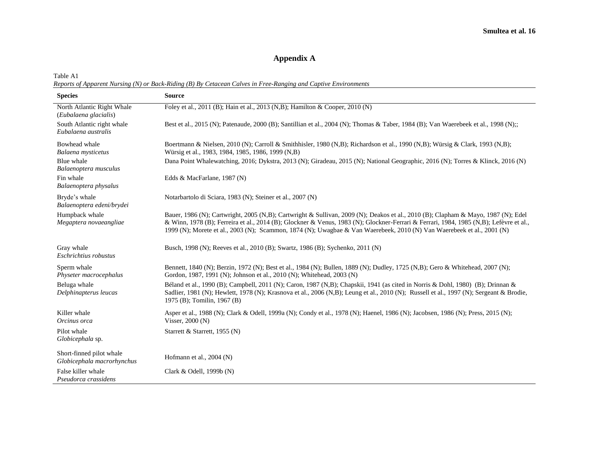# **Appendix A**

Table A1 *Reports of Apparent Nursing (N) or Back-Riding (B) By Cetacean Calves in Free-Ranging and Captive Environments*

| <b>Species</b>                                         | <b>Source</b>                                                                                                                                                                                                                                                                                                                                                                                         |
|--------------------------------------------------------|-------------------------------------------------------------------------------------------------------------------------------------------------------------------------------------------------------------------------------------------------------------------------------------------------------------------------------------------------------------------------------------------------------|
| North Atlantic Right Whale<br>(Eubalaena glacialis)    | Foley et al., 2011 (B); Hain et al., 2013 (N,B); Hamilton & Cooper, 2010 (N)                                                                                                                                                                                                                                                                                                                          |
| South Atlantic right whale<br>Eubalaena australis      | Best et al., 2015 (N); Patenaude, 2000 (B); Santillian et al., 2004 (N); Thomas & Taber, 1984 (B); Van Waerebeek et al., 1998 (N);;                                                                                                                                                                                                                                                                   |
| Bowhead whale<br>Balaena mysticetus                    | Boertmann & Nielsen, 2010 (N); Carroll & Smithhisler, 1980 (N,B); Richardson et al., 1990 (N,B); Würsig & Clark, 1993 (N,B);<br>Würsig et al., 1983, 1984, 1985, 1986, 1999 (N,B)                                                                                                                                                                                                                     |
| Blue whale<br>Balaenoptera musculus                    | Dana Point Whalewatching, 2016; Dykstra, 2013 (N); Giradeau, 2015 (N); National Geographic, 2016 (N); Torres & Klinck, 2016 (N)                                                                                                                                                                                                                                                                       |
| Fin whale<br>Balaenoptera physalus                     | Edds & MacFarlane, 1987 (N)                                                                                                                                                                                                                                                                                                                                                                           |
| Bryde's whale<br>Balaenoptera edeni/brydei             | Notarbartolo di Sciara, 1983 (N); Steiner et al., 2007 (N)                                                                                                                                                                                                                                                                                                                                            |
| Humpback whale<br>Megaptera novaeangliae               | Bauer, 1986 (N); Cartwright, 2005 (N,B); Cartwright & Sullivan, 2009 (N); Deakos et al., 2010 (B); Clapham & Mayo, 1987 (N); Edel<br>& Winn, 1978 (B); Ferreira et al., 2014 (B); Glockner & Venus, 1983 (N); Glockner-Ferrari & Ferrari, 1984, 1985 (N,B); Lefèvre et al.,<br>1999 (N); Morete et al., 2003 (N); Scammon, 1874 (N); Uwagbae & Van Waerebeek, 2010 (N) Van Waerebeek et al., 2001 (N) |
| Gray whale<br>Eschrichtius robustus                    | Busch, 1998 (N); Reeves et al., 2010 (B); Swartz, 1986 (B); Sychenko, 2011 (N)                                                                                                                                                                                                                                                                                                                        |
| Sperm whale<br>Physeter macrocephalus                  | Bennett, 1840 (N); Berzin, 1972 (N); Best et al., 1984 (N); Bullen, 1889 (N); Dudley, 1725 (N,B); Gero & Whitehead, 2007 (N);<br>Gordon, 1987, 1991 (N); Johnson et al., 2010 (N); Whitehead, 2003 (N)                                                                                                                                                                                                |
| Beluga whale<br>Delphinapterus leucas                  | Béland et al., 1990 (B); Campbell, 2011 (N); Caron, 1987 (N,B); Chapskii, 1941 (as cited in Norris & Dohl, 1980) (B); Drinnan &<br>Sadlier, 1981 (N); Hewlett, 1978 (N); Krasnova et al., 2006 (N,B); Leung et al., 2010 (N); Russell et al., 1997 (N); Sergeant & Brodie,<br>1975 (B); Tomilin, 1967 (B)                                                                                             |
| Killer whale<br>Orcinus orca                           | Asper et al., 1988 (N); Clark & Odell, 1999a (N); Condy et al., 1978 (N); Haenel, 1986 (N); Jacobsen, 1986 (N); Press, 2015 (N);<br>Visser, $2000(N)$                                                                                                                                                                                                                                                 |
| Pilot whale<br>Globicephala sp.                        | Starrett & Starrett, 1955 (N)                                                                                                                                                                                                                                                                                                                                                                         |
| Short-finned pilot whale<br>Globicephala macrorhynchus | Hofmann et al., $2004$ (N)                                                                                                                                                                                                                                                                                                                                                                            |
| False killer whale<br>Pseudorca crassidens             | Clark & Odell, 1999b (N)                                                                                                                                                                                                                                                                                                                                                                              |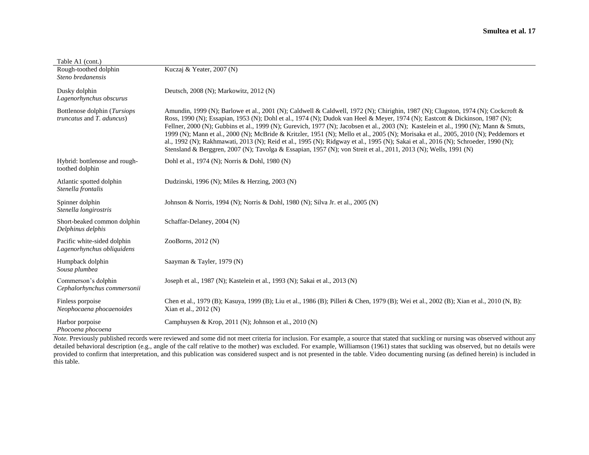| Table A1 (cont.)                                                         |                                                                                                                                                                                                                                                                                                                                                                                                                                                                                                                                                                                                                                                                                                                                                                                                             |  |
|--------------------------------------------------------------------------|-------------------------------------------------------------------------------------------------------------------------------------------------------------------------------------------------------------------------------------------------------------------------------------------------------------------------------------------------------------------------------------------------------------------------------------------------------------------------------------------------------------------------------------------------------------------------------------------------------------------------------------------------------------------------------------------------------------------------------------------------------------------------------------------------------------|--|
| Rough-toothed dolphin<br>Steno bredanensis                               | Kuczaj & Yeater, 2007 (N)                                                                                                                                                                                                                                                                                                                                                                                                                                                                                                                                                                                                                                                                                                                                                                                   |  |
| Dusky dolphin<br>Lagenorhynchus obscurus                                 | Deutsch, 2008 (N); Markowitz, 2012 (N)                                                                                                                                                                                                                                                                                                                                                                                                                                                                                                                                                                                                                                                                                                                                                                      |  |
| Bottlenose dolphin (Tursiops<br><i>truncatus</i> and <i>T. aduncus</i> ) | Amundin, 1999 (N); Barlowe et al., 2001 (N); Caldwell & Caldwell, 1972 (N); Chirighin, 1987 (N); Clugston, 1974 (N); Cockcroft &<br>Ross, 1990 (N); Essapian, 1953 (N); Dohl et al., 1974 (N); Dudok van Heel & Meyer, 1974 (N); Eastcott & Dickinson, 1987 (N);<br>Fellner, 2000 (N); Gubbins et al., 1999 (N); Gurevich, 1977 (N); Jacobsen et al., 2003 (N); Kastelein et al., 1990 (N); Mann & Smuts,<br>1999 (N); Mann et al., 2000 (N); McBride & Kritzler, 1951 (N); Mello et al., 2005 (N); Morisaka et al., 2005, 2010 (N); Peddemors et<br>al., 1992 (N); Rakhmawati, 2013 (N); Reid et al., 1995 (N); Ridgway et al., 1995 (N); Sakai et al., 2016 (N); Schroeder, 1990 (N);<br>Stensland & Berggren, 2007 (N); Tavolga & Essapian, 1957 (N); von Streit et al., 2011, 2013 (N); Wells, 1991 (N) |  |
| Hybrid: bottlenose and rough-<br>toothed dolphin                         | Dohl et al., 1974 (N); Norris & Dohl, 1980 (N)                                                                                                                                                                                                                                                                                                                                                                                                                                                                                                                                                                                                                                                                                                                                                              |  |
| Atlantic spotted dolphin<br>Stenella frontalis                           | Dudzinski, 1996 (N); Miles & Herzing, 2003 (N)                                                                                                                                                                                                                                                                                                                                                                                                                                                                                                                                                                                                                                                                                                                                                              |  |
| Spinner dolphin<br>Stenella longirostris                                 | Johnson & Norris, 1994 (N); Norris & Dohl, 1980 (N); Silva Jr. et al., 2005 (N)                                                                                                                                                                                                                                                                                                                                                                                                                                                                                                                                                                                                                                                                                                                             |  |
| Short-beaked common dolphin<br>Delphinus delphis                         | Schaffar-Delaney, 2004 (N)                                                                                                                                                                                                                                                                                                                                                                                                                                                                                                                                                                                                                                                                                                                                                                                  |  |
| Pacific white-sided dolphin<br>Lagenorhynchus obliquidens                | ZooBorns, $2012(N)$                                                                                                                                                                                                                                                                                                                                                                                                                                                                                                                                                                                                                                                                                                                                                                                         |  |
| Humpback dolphin<br>Sousa plumbea                                        | Saayman & Tayler, 1979 (N)                                                                                                                                                                                                                                                                                                                                                                                                                                                                                                                                                                                                                                                                                                                                                                                  |  |
| Commerson's dolphin<br>Cephalorhynchus commersonii                       | Joseph et al., 1987 (N); Kastelein et al., 1993 (N); Sakai et al., 2013 (N)                                                                                                                                                                                                                                                                                                                                                                                                                                                                                                                                                                                                                                                                                                                                 |  |
| Finless porpoise<br>Neophocaena phocaenoides                             | Chen et al., 1979 (B); Kasuya, 1999 (B); Liu et al., 1986 (B); Pilleri & Chen, 1979 (B); Wei et al., 2002 (B); Xian et al., 2010 (N, B):<br>Xian et al., 2012 (N)                                                                                                                                                                                                                                                                                                                                                                                                                                                                                                                                                                                                                                           |  |
| Harbor porpoise<br>Phocoena phocoena                                     | Camphuysen & Krop, 2011 (N); Johnson et al., 2010 (N)                                                                                                                                                                                                                                                                                                                                                                                                                                                                                                                                                                                                                                                                                                                                                       |  |

Note. Previously published records were reviewed and some did not meet criteria for inclusion. For example, a source that stated that suckling or nursing was observed without any detailed behavioral description (e.g., angle of the calf relative to the mother) was excluded. For example, Williamson (1961) states that suckling was observed, but no details were provided to confirm that interpretation, and this publication was considered suspect and is not presented in the table. Video documenting nursing (as defined herein) is included in this table.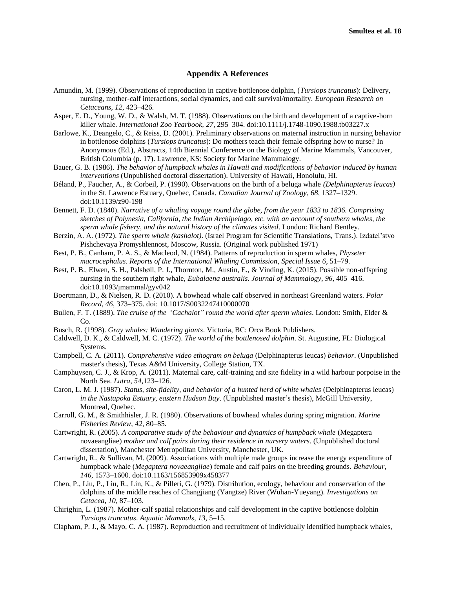# **Appendix A References**

- Amundin, M. (1999). Observations of reproduction in captive bottlenose dolphin, (*Tursiops truncatus*): Delivery, nursing, mother-calf interactions, social dynamics, and calf survival/mortality. *European Research on Cetaceans, 12*, 423–426.
- Asper, E. D., Young, W. D., & Walsh, M. T. (1988). Observations on the birth and development of a captive-born killer whale. *International Zoo Yearbook, 27*, 295–304. doi:10.1111/j.1748-1090.1988.tb03227.x
- Barlowe, K., Deangelo, C., & Reiss, D. (2001). Preliminary observations on maternal instruction in nursing behavior in bottlenose dolphins (*Tursiops truncatus*): Do mothers teach their female offspring how to nurse? In Anonymous (Ed.), Abstracts, 14th Biennial Conference on the Biology of Marine Mammals, Vancouver, British Columbia (p. 17). Lawrence, KS: Society for Marine Mammalogy.
- Bauer, G. B. (1986). *The behavior of humpback whales in Hawaii and modifications of behavior induced by human interventions* (Unpublished doctoral dissertation). University of Hawaii, Honolulu, HI.
- Béland, P., Faucher, A., & Corbeil, P. (1990). Observations on the birth of a beluga whale *(Delphinapterus leucas)*  in the St. Lawrence Estuary, Quebec, Canada. *Canadian Journal of Zoology*, *68*, 1327–1329. doi:10.1139/z90-198
- Bennett, F. D. (1840). *Narrative of a whaling voyage round the globe, from the year 1833 to 1836. Comprising sketches of Polynesia, California, the Indian Archipelago, etc. with an account of southern whales, the sperm whale fishery, and the natural history of the climates visited*. London: Richard Bentley.
- Berzin, A. A. (1972). *The sperm whale (kashalot)*. (Israel Program for Scientific Translations, Trans.). Izdatel'stvo Pishchevaya Promyshlennost, Moscow, Russia. (Original work published 1971)
- Best, P. B., Canham, P. A. S., & Macleod, N. (1984). Patterns of reproduction in sperm whales, *Physeter macrocephalus*. *Reports of the International Whaling Commission*, *Special Issue 6*, 51–79.
- Best, P. B., Elwen, S. H., Palsbøll, P. J., Thornton, M., Austin, E., & Vinding, K. (2015). Possible non-offspring nursing in the southern right whale, *Eubalaena australis*. *Journal of Mammalogy*, *96*, 405–416. doi:10.1093/jmammal/gyv042
- Boertmann, D., & Nielsen, R. D. (2010). A bowhead whale calf observed in northeast Greenland waters. *Polar Record*, *46*, 373–375. doi: 10.1017/S0032247410000070
- Bullen, F. T. (1889). *The cruise of the "Cachalot" round the world after sperm whales*. London: Smith, Elder & Co.
- Busch, R. (1998). *Gray whales: Wandering giants*. Victoria, BC: Orca Book Publishers.
- Caldwell, D. K., & Caldwell, M. C. (1972). *The world of the bottlenosed dolphin*. St. Augustine, FL: Biological Systems.
- Campbell, C. A. (2011). *Comprehensive video ethogram on beluga* (Delphinapterus leucas) *behavior*. (Unpublished master's thesis), Texas A&M University, College Station, TX.
- Camphuysen, C. J., & Krop, A. (2011). Maternal care, calf-training and site fidelity in a wild harbour porpoise in the North Sea. *Lutra*, *54*,123–126.
- Caron, L. M. J. (1987). *Status, site-fidelity, and behavior of a hunted herd of white whales* (Delphinapterus leucas) *in the Nastapoka Estuary, eastern Hudson Bay*. (Unpublished master's thesis), McGill University, Montreal, Quebec.
- Carroll, G. M., & Smithhisler, J. R. (1980). Observations of bowhead whales during spring migration. *Marine Fisheries Review*, *42*, 80–85.
- Cartwright, R. (2005). A comparative study of the behaviour and dynamics of humpback whale (Megaptera novaeangliae) *mother and calf pairs during their residence in nursery waters*. (Unpublished doctoral dissertation), Manchester Metropolitan University, Manchester, UK.
- Cartwright, R., & Sullivan, M. (2009). Associations with multiple male groups increase the energy expenditure of humpback whale (*Megaptera novaeangliae*) female and calf pairs on the breeding grounds. *Behaviour*, *146*, 1573–1600. doi:10.1163/156853909x458377
- Chen, P., Liu, P., Liu, R., Lin, K., & Pilleri, G. (1979). Distribution, ecology, behaviour and conservation of the dolphins of the middle reaches of Changjiang (Yangtze) River (Wuhan-Yueyang). *Investigations on Cetacea*, *10*, 87–103.
- Chirighin, L. (1987). Mother-calf spatial relationships and calf development in the captive bottlenose dolphin *Tursiops truncatus*. *Aquatic Mammals*, *13*, 5–15.
- Clapham, P. J., & Mayo, C. A. (1987). Reproduction and recruitment of individually identified humpback whales,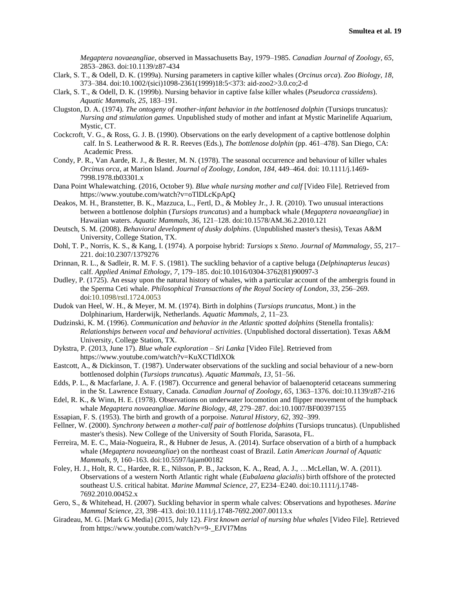*Megaptera novaeangliae*, observed in Massachusetts Bay, 1979–1985. *Canadian Journal of Zoology*, *65*, 2853–2863. doi:10.1139/z87-434

- Clark, S. T., & Odell, D. K. (1999a). Nursing parameters in captive killer whales (*Orcinus orca*). *Zoo Biology*, *18*, 373–384. doi:10.1002/(sici)1098-2361(1999)18:5<373: aid-zoo2>3.0.co;2-d
- Clark, S. T., & Odell, D. K. (1999b). Nursing behavior in captive false killer whales (*Pseudorca crassidens*). *Aquatic Mammals*, *25*, 183–191.
- Clugston, D. A. (1974). *The ontogeny of mother-infant behavior in the bottlenosed dolphin* (Tursiops truncatus)*: Nursing and stimulation games.* Unpublished study of mother and infant at Mystic Marinelife Aquarium, Mystic, CT.
- Cockcroft, V. G., & Ross, G. J. B. (1990). Observations on the early development of a captive bottlenose dolphin calf. In S. Leatherwood & R. R. Reeves (Eds.), *The bottlenose dolphin* (pp. 461–478). San Diego, CA: Academic Press.
- Condy, P. R., Van Aarde, R. J., & Bester, M. N. (1978). The seasonal occurrence and behaviour of killer whales *Orcinus orca*, at Marion Island. *Journal of Zoology, London*, *184*, 449–464. doi: 10.1111/j.1469- 7998.1978.tb03301.x
- Dana Point Whalewatching. (2016, October 9). *Blue whale nursing mother and calf* [Video File]. Retrieved from https://www.youtube.com/watch?v=oTlDLcKpApQ
- Deakos, M. H., Branstetter, B. K., Mazzuca, L., Fertl, D., & Mobley Jr., J. R. (2010). Two unusual interactions between a bottlenose dolphin (*Tursiops truncatus*) and a humpback whale (*Megaptera novaeangliae*) in Hawaiian waters. *Aquatic Mammals*, *36*, 121–128. doi:10.1578/AM.36.2.2010.121
- Deutsch, S. M. (2008). *Behavioral development of dusky dolphins*. (Unpublished master's thesis), Texas A&M University, College Station, TX.
- Dohl, T. P., Norris, K. S., & Kang, I. (1974). A porpoise hybrid: *Tursiops* x *Steno*. *Journal of Mammalogy*, *55*, 217– 221. doi:10.2307/1379276
- Drinnan, R. L., & Sadleir, R. M. F. S. (1981). The suckling behavior of a captive beluga (*Delphinapterus leucas*) calf. *Applied Animal Ethology*, *7*, 179–185. doi:10.1016/0304-3762(81)90097-3
- Dudley, P. (1725). An essay upon the natural history of whales, with a particular account of the ambergris found in the Sperma Ceti whale. *Philosophical Transactions of the Royal Society of London*, *33*, 256–269. doi:10.1098/rstl.1724.0053
- Dudok van Heel, W. H., & Meyer, M. M. (1974). Birth in dolphins (*Tursiops truncatus*, Mont.) in the Dolphinarium, Harderwijk, Netherlands. *Aquatic Mammals*, *2*, 11–23.
- Dudzinski, K. M. (1996). *Communication and behavior in the Atlantic spotted dolphins* (Stenella frontalis)*: Relationships between vocal and behavioral activities*. (Unpublished doctoral dissertation). Texas A&M University, College Station, TX.
- Dykstra, P. (2013, June 17). *Blue whale exploration – Sri Lanka* [Video File]. Retrieved from https://www.youtube.com/watch?v=KuXCTIdlXOk
- Eastcott, A., & Dickinson, T. (1987). Underwater observations of the suckling and social behaviour of a new-born bottlenosed dolphin (*Tursiops truncatus*). *Aquatic Mammals*, *13*, 51–56.
- Edds, P. L., & Macfarlane, J. A. F. (1987). Occurrence and general behavior of balaenopterid cetaceans summering in the St. Lawrence Estuary, Canada. *Canadian Journal of Zoology*, *65*, 1363–1376. doi:10.1139/z87-216
- Edel, R. K., & Winn, H. E. (1978). Observations on underwater locomotion and flipper movement of the humpback whale *Megaptera novaeangliae*. *Marine Biology, 48*, 279–287. doi:10.1007/BF00397155
- Essapian, F. S. (1953). The birth and growth of a porpoise. *Natural History, 62*, 392–399.
- Fellner, W. (2000). *Synchrony between a mother-calf pair of bottlenose dolphins* (Tursiops truncatus). (Unpublished master's thesis). New College of the University of South Florida, Sarasota, FL.
- Ferreira, M. E. C., Maia-Nogueira, R., & Hubner de Jesus, A. (2014). Surface observation of a birth of a humpback whale (*Megaptera novaeangliae*) on the northeast coast of Brazil. *Latin American Journal of Aquatic Mammals*, *9*, 160–163. doi:10.5597/lajam00182
- Foley, H. J., Holt, R. C., Hardee, R. E., Nilsson, P. B., Jackson, K. A., Read, A. J., …McLellan, W. A. (2011). Observations of a western North Atlantic right whale (*Eubalaena glacialis*) birth offshore of the protected southeast U.S. critical habitat. *Marine Mammal Science*, *27*, E234–E240. doi:10.1111/j.1748- 7692.2010.00452.x
- Gero, S., & Whitehead, H. (2007). Suckling behavior in sperm whale calves: Observations and hypotheses. *Marine Mammal Science*, *23*, 398–413. doi:10.1111/j.1748-7692.2007.00113.x
- Giradeau, M. G. [Mark G Media] (2015, July 12). *First known aerial of nursing blue whales* [Video File]. Retrieved from https://www.youtube.com/watch?v=9-\_EJVI7Mns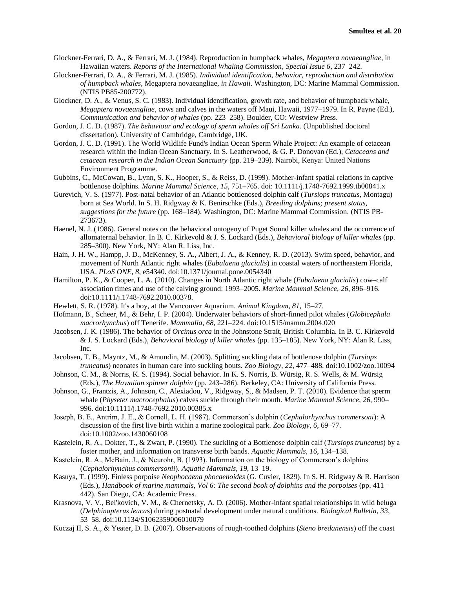- Glockner-Ferrari, D. A., & Ferrari, M. J. (1984). Reproduction in humpback whales, *Megaptera novaeangliae*, in Hawaiian waters. *Reports of the International Whaling Commission*, *Special Issue 6*, 237–242.
- Glockner-Ferrari, D. A., & Ferrari, M. J. (1985). *Individual identification, behavior, reproduction and distribution of humpback whales,* Megaptera novaeangliae*, in Hawaii*. Washington, DC: Marine Mammal Commission. (NTIS PB85-200772).
- Glockner, D. A., & Venus, S. C. (1983). Individual identification, growth rate, and behavior of humpback whale, *Megaptera novaeangliae*, cows and calves in the waters off Maui, Hawaii, 1977–1979. In R. Payne (Ed.), *Communication and behavior of whales* (pp. 223–258). Boulder, CO: Westview Press.
- Gordon, J. C. D. (1987). *The behaviour and ecology of sperm whales off Sri Lanka*. (Unpublished doctoral dissertation). University of Cambridge, Cambridge, UK.
- Gordon, J. C. D. (1991). The World Wildlife Fund's Indian Ocean Sperm Whale Project: An example of cetacean research within the Indian Ocean Sanctuary. In S. Leatherwood, & G. P. Donovan (Ed.), *Cetaceans and cetacean research in the Indian Ocean Sanctuary* (pp. 219–239). Nairobi, Kenya: United Nations Environment Programme.
- Gubbins, C., McCowan, B., Lynn, S. K., Hooper, S., & Reiss, D. (1999). Mother-infant spatial relations in captive bottlenose dolphins. *Marine Mammal Science*, *15*, 751–765. doi: 10.1111/j.1748-7692.1999.tb00841.x
- Gurevich, V. S. (1977). Post-natal behavior of an Atlantic bottlenosed dolphin calf (*Tursiops truncatus*, Montagu) born at Sea World. In S. H. Ridgway & K. Benirschke (Eds.), *Breeding dolphins; present status, suggestions for the future* (pp. 168–184). Washington, DC: Marine Mammal Commission. (NTIS PB-273673).
- Haenel, N. J. (1986). General notes on the behavioral ontogeny of Puget Sound killer whales and the occurrence of allomaternal behavior. In B. C. Kirkevold & J. S. Lockard (Eds.), *Behavioral biology of killer whales* (pp. 285–300). New York, NY: Alan R. Liss, Inc.
- Hain, J. H. W., Hampp, J. D., McKenney, S. A., Albert, J. A., & Kenney, R. D. (2013). Swim speed, behavior, and movement of North Atlantic right whales (*Eubalaena glacialis*) in coastal waters of northeastern Florida, USA. *PLoS ONE*, *8*, e54340. doi:10.1371/journal.pone.0054340
- Hamilton, P. K., & Cooper, L. A. (2010). Changes in North Atlantic right whale (*Eubalaena glacialis*) cow–calf association times and use of the calving ground: 1993–2005. *Marine Mammal Science*, *26*, 896–916. doi:10.1111/j.1748-7692.2010.00378.
- Hewlett, S. R. (1978). It's a boy, at the Vancouver Aquarium. *Animal Kingdom, 81*, 15–27.
- Hofmann, B., Scheer, M., & Behr, I. P. (2004). Underwater behaviors of short-finned pilot whales (*Globicephala macrorhynchus*) off Tenerife. *Mammalia*, *68*, 221–224. doi:10.1515/mamm.2004.020
- Jacobsen, J. K. (1986). The behavior of *Orcinus orca* in the Johnstone Strait, British Columbia. In B. C. Kirkevold & J. S. Lockard (Eds.), *Behavioral biology of killer whales* (pp. 135–185). New York, NY: Alan R. Liss, Inc.
- Jacobsen, T. B., Mayntz, M., & Amundin, M. (2003). Splitting suckling data of bottlenose dolphin (*Tursiops truncatus*) neonates in human care into suckling bouts. *Zoo Biology*, *22*, 477–488. doi:10.1002/zoo.10094
- Johnson, C. M., & Norris, K. S. (1994). Social behavior. In K. S. Norris, B. Würsig, R. S. Wells, & M. Würsig (Eds.), *The Hawaiian spinner dolphin* (pp. 243–286). Berkeley, CA: University of California Press.
- Johnson, G., Frantzis, A., Johnson, C., Alexiadou, V., Ridgway, S., & Madsen, P. T. (2010). Evidence that sperm whale (*Physeter macrocephalus*) calves suckle through their mouth. *Marine Mammal Science*, *26*, 990– 996. doi:10.1111/j.1748-7692.2010.00385.x
- Joseph, B. E., Antrim, J. E., & Cornell, L. H. (1987). Commerson's dolphin (*Cephalorhynchus commersoni*): A discussion of the first live birth within a marine zoological park. *Zoo Biology*, *6*, 69–77. doi:10.1002/zoo.1430060108
- Kastelein, R. A., Dokter, T., & Zwart, P. (1990). The suckling of a Bottlenose dolphin calf (*Tursiops truncatus*) by a foster mother, and information on transverse birth bands. *Aquatic Mammals, 16*, 134–138.
- Kastelein, R. A., McBain, J., & Neurohr, B. (1993). Information on the biology of Commerson's dolphins (*Cephalorhynchus commersonii*). *Aquatic Mammals*, *19*, 13–19.
- Kasuya, T. (1999). Finless porpoise *Neophocaena phocaenoides* (G. Cuvier, 1829). In S. H. Ridgway & R. Harrison (Eds.), *Handbook of marine mammals, Vol 6: The second book of dolphins and the porpoises* (pp. 411– 442). San Diego, CA: Academic Press.
- Krasnova, V. V., Bel'kovich, V. M., & Chernetsky, A. D. (2006). Mother-infant spatial relationships in wild beluga (*Delphinapterus leuca*s) during postnatal development under natural conditions. *Biological Bulletin*, *33*, 53–58. doi:10.1134/S1062359006010079
- Kuczaj II, S. A., & Yeater, D. B. (2007). Observations of rough-toothed dolphins (*Steno bredanensis*) off the coast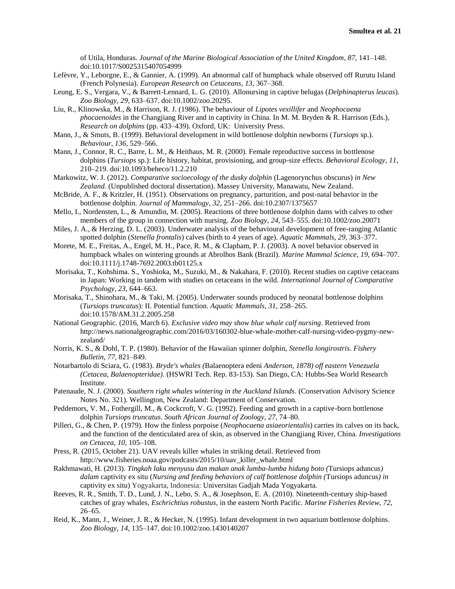of Utila, Honduras. *Journal of the Marine Biological Association of the United Kingdom*, *87*, 141–148. doi:10.1017/S0025315407054999

- Lefèvre, Y., Leborgne, E., & Gannier, A. (1999). An abnormal calf of humpback whale observed off Rurutu Island (French Polynesia). *European Research on Cetaceans*, *13*, 367–368.
- Leung, E. S., Vergara, V., & Barrett-Lennard, L. G. (2010). Allonursing in captive belugas (*Delphinapterus leucas*). *Zoo Biology*, *29*, 633–637. doi:10.1002/zoo.20295.
- Liu, R., Klinowska, M., & Harrison, R. J. (1986). The behaviour of *Lipotes vexillifer* and *Neophocaena phocaenoides* in the Changjiang River and in captivity in China. In M. M. Bryden & R. Harrison (Eds.), *Research on dolphins* (pp. 433–439). Oxford, UK: University Press.
- Mann, J., & Smuts, B. (1999). Behavioral development in wild bottlenose dolphin newborns (*Tursiops* sp.). *Behaviour*, *136*, 529–566.
- Mann, J., Connor, R. C., Barre, L. M., & Heithaus, M. R. (2000). Female reproductive success in bottlenose dolphins (*Tursiops* sp.): Life history, habitat, provisioning, and group-size effects. *Behavioral Ecology*, *11*, 210–219. doi:10.1093/beheco/11.2.210
- Markowitz, W. J. (2012). *Comparative socioecology of the dusky dolphin* (Lagenorynchus obscurus) *in New Zealand*. (Unpublished doctoral dissertation). Massey University, Manawatu, New Zealand.
- McBride, A. F., & Kritzler, H. (1951). Observations on pregnancy, parturition, and post-natal behavior in the bottlenose dolphin. *Journal of Mammalogy*, *32*, 251–266. doi:10.2307/1375657
- Mello, I., Nordensten, L., & Amundin, M. (2005). Reactions of three bottlenose dolphin dams with calves to other members of the group in connection with nursing. *Zoo Biology*, *24*, 543–555. doi:10.1002/zoo.20071
- Miles, J. A., & Herzing, D. L. (2003). Underwater analysis of the behavioural development of free-ranging Atlantic spotted dolphin (*Stenella frontalis*) calves (birth to 4 years of age). *Aquatic Mammals*, *29*, 363–377.
- Morete, M. E., Freitas, A., Engel, M. H., Pace, R. M., & Clapham, P. J. (2003). A novel behavior observed in humpback whales on wintering grounds at Abrolhos Bank (Brazil). *Marine Mammal Science*, *19*, 694–707. doi:10.1111/j.1748-7692.2003.tb01125.x
- Morisaka, T., Kohshima. S., Yoshioka, M., Suzuki, M., & Nakahara, F. (2010). Recent studies on captive cetaceans in Japan: Working in tandem with studies on cetaceans in the wild. *International Journal of Comparative Psychology*, *23*, 644–663.
- Morisaka, T., Shinohara, M., & Taki, M. (2005). Underwater sounds produced by neonatal bottlenose dolphins (*Tursiops truncatus*): II. Potential function. *Aquatic Mammals*, *31*, 258–265. doi:10.1578/AM.31.2.2005.258
- National Geographic. (2016, March 6). *Exclusive video may show blue whale calf nursing*. Retrieved from http://news.nationalgeographic.com/2016/03/160302-blue-whale-mother-calf-nursing-video-pygmy-newzealand/
- Norris, K. S., & Dohl, T. P. (1980). Behavior of the Hawaiian spinner dolphin, *Stenella longirostris*. *Fishery Bulletin*, *77*, 821–849.
- Notarbartolo di Sciara, G. (1983). *Bryde's whales (*Balaenoptera edeni *Anderson, 1878) off eastern Venezuela (Cetacea, Balaenopteridae)*. (HSWRI Tech. Rep. 83-153). San Diego, CA: Hubbs-Sea World Research Institute.
- Patenaude, N. J. (2000). *Southern right whales wintering in the Auckland Islands*. (Conservation Advisory Science Notes No. 321). Wellington, New Zealand: Department of Conservation.
- Peddemors, V. M., Fothergill, M., & Cockcroft, V. G. (1992). Feeding and growth in a captive-born bottlenose dolphin *Tursiops truncatus*. *South African Journal of Zoology*, *27*, 74–80.
- Pilleri, G., & Chen, P. (1979). How the finless porpoise (*Neophocaena asiaeorientalis*) carries its calves on its back, and the function of the denticulated area of skin, as observed in the Changjiang River, China. *Investigations on Cetacea*, *10*, 105–108.
- Press, R. (2015, October 21). UAV reveals killer whales in striking detail. Retrieved from http://www.fisheries.noaa.gov/podcasts/2015/10/uav\_killer\_whale.html
- Rakhmawati, H. (2013). *Tingkah laku menyusu dan makan anak lumba-lumba hidung boto (*Tursiops aduncus*) dalam* captivity ex situ (*Nursing and feeding behaviors of calf bottlenose dolphin (*Tursiops aduncus*) in*  captivity ex situ) Yogyakarta, Indonesia: Universitas Gadjah Mada Yogyakarta.
- Reeves, R. R., Smith, T. D., Lund, J. N., Lebo, S. A., & Josephson, E. A. (2010). Nineteenth-century ship-based catches of gray whales, *Eschrichtius robustus*, in the eastern North Pacific. *Marine Fisheries Review*, *72*,  $26 - 65$ .
- Reid, K., Mann, J., Weiner, J. R., & Hecker, N. (1995). Infant development in two aquarium bottlenose dolphins. *Zoo Biology*, *14*, 135–147. doi:10.1002/zoo.1430140207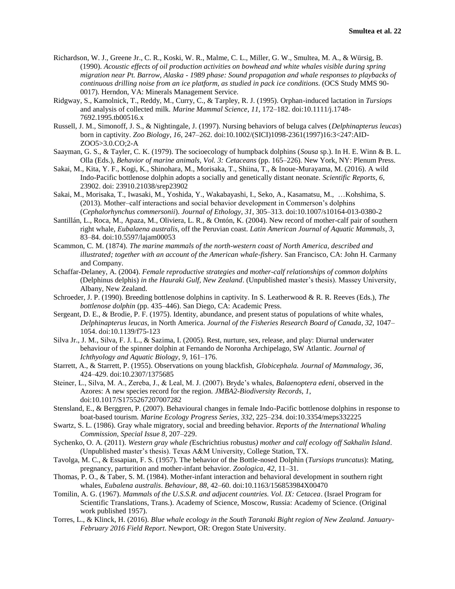- Richardson, W. J., Greene Jr., C. R., Koski, W. R., Malme, C. L., Miller, G. W., Smultea, M. A., & Würsig, B. (1990). *Acoustic effects of oil production activities on bowhead and white whales visible during spring migration near Pt. Barrow, Alaska - 1989 phase: Sound propagation and whale responses to playbacks of continuous drilling noise from an ice platform, as studied in pack ice conditions*. (OCS Study MMS 90- 0017). Herndon, VA: Minerals Management Service.
- Ridgway, S., Kamolnick, T., Reddy, M., Curry, C., & Tarpley, R. J. (1995). Orphan-induced lactation in *Tursiops* and analysis of collected milk. *Marine Mammal Science*, *11*, 172–182. doi:10.1111/j.1748- 7692.1995.tb00516.x
- Russell, J. M., Simonoff, J. S., & Nightingale, J. (1997). Nursing behaviors of beluga calves (*Delphinapterus leucas*) born in captivity. *Zoo Biology*, *16*, 247–262. doi:10.1002/(SICI)1098-2361(1997)16:3<247:AID-ZOO5>3.0.CO;2-A
- Saayman, G. S., & Tayler, C. K. (1979). The socioecology of humpback dolphins (*Sousa* sp.). In H. E. Winn & B. L. Olla (Eds.), *Behavior of marine animals, Vol. 3: Cetaceans* (pp. 165–226). New York, NY: Plenum Press.
- Sakai, M., Kita, Y. F., Kogi, K., Shinohara, M., Morisaka, T., Shiina, T., & Inoue-Murayama, M. (2016). A wild Indo-Pacific bottlenose dolphin adopts a socially and genetically distant neonate. *Scientific Reports*, *6,* 23902. doi: 23910.21038/srep23902
- Sakai, M., Morisaka, T., Iwasaki, M., Yoshida, Y., Wakabayashi, I., Seko, A., Kasamatsu, M., …Kohshima, S. (2013). Mother–calf interactions and social behavior development in Commerson's dolphins (*Cephalorhynchus commersonii*). *Journal of Ethology*, *31*, 305–313. doi:10.1007/s10164-013-0380-2
- Santillán, L., Roca, M., Apaza, M., Oliviera, L. R., & Ontón, K. (2004). New record of mother-calf pair of southern right whale, *Eubalaena australis*, off the Peruvian coast. *Latin American Journal of Aquatic Mammals*, *3*, 83–84. doi:10.5597/lajam00053
- Scammon, C. M. (1874). *The marine mammals of the north-western coast of North America, described and illustrated; together with an account of the American whale-fishery*. San Francisco, CA: John H. Carmany and Company.
- Schaffar-Delaney, A. (2004). *Female reproductive strategies and mother-calf relationships of common dolphins*  (Delphinus delphis) *in the Hauraki Gulf, New Zealand*. (Unpublished master's thesis). Massey University, Albany, New Zealand.
- Schroeder, J. P. (1990). Breeding bottlenose dolphins in captivity. In S. Leatherwood & R. R. Reeves (Eds.), *The bottlenose dolphin* (pp. 435–446). San Diego, CA: Academic Press.
- Sergeant, D. E., & Brodie, P. F. (1975). Identity, abundance, and present status of populations of white whales, *Delphinapterus leucas*, in North America. *Journal of the Fisheries Research Board of Canada*, *32*, 1047– 1054. doi:10.1139/f75-123
- Silva Jr., J. M., Silva, F. J. L., & Sazima, I. (2005). Rest, nurture, sex, release, and play: Diurnal underwater behaviour of the spinner dolphin at Fernando de Noronha Archipelago, SW Atlantic. *Journal of Ichthyology and Aquatic Biology*, *9*, 161–176.
- Starrett, A., & Starrett, P. (1955). Observations on young blackfish, *Globicephala. Journal of Mammalogy, 36*, 424–429. doi:10.2307/1375685
- Steiner, L., Silva, M. A., Zereba, J., & Leal, M. J. (2007). Bryde's whales, *Balaenoptera edeni*, observed in the Azores: A new species record for the region. *JMBA2-Biodiversity Records, 1*, doi:10.1017/S1755267207007282
- Stensland, E., & Berggren, P. (2007). Behavioural changes in female Indo-Pacific bottlenose dolphins in response to boat-based tourism. *Marine Ecology Progress Series*, *332*, 225–234. doi:10.3354/meps332225
- Swartz, S. L. (1986). Gray whale migratory, social and breeding behavior. *Reports of the International Whaling Commission*, *Special Issue 8*, 207–229.
- Sychenko, O. A. (2011). *Western gray whale (*Eschrichtius robustus*) mother and calf ecology off Sakhalin Island*. (Unpublished master's thesis). Texas A&M University, College Station, TX.
- Tavolga, M. C., & Essapian, F. S. (1957). The behavior of the Bottle-nosed Dolphin (*Tursiops truncatus*): Mating, pregnancy, parturition and mother-infant behavior. *Zoologica*, *42*, 11–31.
- Thomas, P. O., & Taber, S. M. (1984). Mother-infant interaction and behavioral development in southern right whales, *Eubalena australis*. *Behaviour*, *88*, 42–60. doi:10.1163/156853984X00470
- Tomilin, A. G. (1967). *Mammals of the U.S.S.R. and adjacent countries. Vol. IX: Cetacea*. (Israel Program for Scientific Translations, Trans.). Academy of Science, Moscow, Russia: Academy of Science. (Original work published 1957).
- Torres, L., & Klinck, H. (2016). *Blue whale ecology in the South Taranaki Bight region of New Zealand. January-February 2016 Field Report*. Newport, OR: Oregon State University.